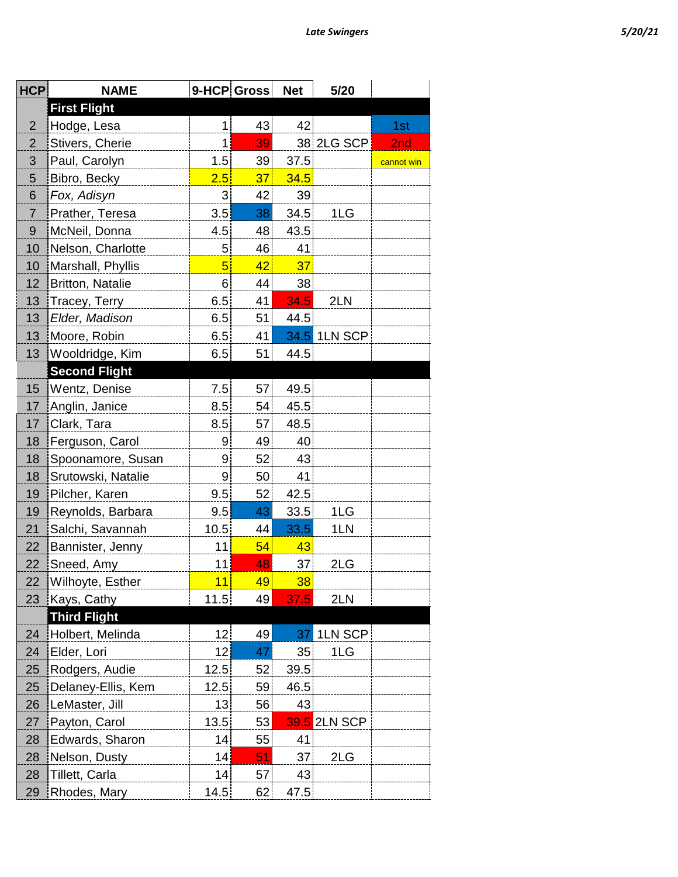| ï |
|---|
|---|

| <b>HCP</b>     | <b>NAME</b>             |                 | 9-HCP Gross | <b>Net</b> | 5/20         |            |
|----------------|-------------------------|-----------------|-------------|------------|--------------|------------|
|                | <b>First Flight</b>     |                 |             |            |              |            |
| $\overline{2}$ | Hodge, Lesa             | $\mathbf{1}$    | 43          | 42         |              | 1st        |
| $\overline{2}$ | Stivers, Cherie         | 1               | 39          |            | 38 2LG SCP   | 2nd        |
| 3              | Paul, Carolyn           | 1.5             | 39          | 37.5       |              | cannot win |
| 5              | Bibro, Becky            | 2.5             | 37          | 34.5       |              |            |
| 6              | Fox, Adisyn             | 3               | 42          | 39         |              |            |
| $\overline{7}$ | Prather, Teresa         | 3.5             | 38          | 34.5       | 1LG          |            |
| $9\,$          | McNeil, Donna           | 4.5             | 48          | 43.5       |              |            |
| 10             | Nelson, Charlotte       | 5 <sup>5</sup>  | 46          | 41         |              |            |
| 10             | Marshall, Phyllis       | 5               | 42          | 37         |              |            |
| 12             | <b>Britton, Natalie</b> | 6               | 44          | 38         |              |            |
| 13             | Tracey, Terry           | 6.5             | 41          | 34.5       | 2LN          |            |
| 13             | Elder, Madison          | 6.5             | 51          | 44.5       |              |            |
| 13             | Moore, Robin            | 6.5             | 41          |            | 34.5 1LN SCP |            |
| 13             | Wooldridge, Kim         | 6.5             | 51          | 44.5       |              |            |
|                | <b>Second Flight</b>    |                 |             |            |              |            |
| 15             | Wentz, Denise           | 7.5             | 57          | 49.5       |              |            |
| 17             | Anglin, Janice          | 8.5             | 54          | 45.5       |              |            |
| 17             | Clark, Tara             | 8.5             | 57          | 48.5       |              |            |
| 18             | Ferguson, Carol         | 9               | 49          | 40         |              |            |
| 18             | Spoonamore, Susan       | 9               | 52          | 43         |              |            |
| 18             | Srutowski, Natalie      | 9               | 50          | 41         |              |            |
| 19             | Pilcher, Karen          | 9.5             | 52          | 42.5       |              |            |
| 19             | Reynolds, Barbara       | 9.5             | 43          | 33.5       | 1LG          |            |
| 21             | Salchi, Savannah        | 10.5            | 44          | 33.5       | 1LN          |            |
| 22             | Bannister, Jenny        | 11              | 54          | 43         |              |            |
| 22             | Sneed, Amy              | 11              | 48          | 37         | 2LG          |            |
| 22             | Wilhoyte, Esther        | 11              | 49          | 38         |              |            |
| 23             | Kays, Cathy             | 11.5            | 49          | 37.5       | 2LN          |            |
|                | <b>Third Flight</b>     |                 |             |            |              |            |
| 24             | Holbert, Melinda        | 12 <sub>1</sub> | 49          | 37         | 1LN SCP      |            |
| 24             | Elder, Lori             | 12              | 47          | 35         | 1LG          |            |
| 25             | Rodgers, Audie          | 12.5            | 52          | 39.5       |              |            |
| 25             | Delaney-Ellis, Kem      | 12.5            | 59          | 46.5       |              |            |
| 26             | LeMaster, Jill          | 13              | 56          | 43         |              |            |
| 27             | Payton, Carol           | 13.5            | 53          |            | 39.5 2LN SCP |            |
| 28             | Edwards, Sharon         | 14              | 55          | 41         |              |            |
| 28             | Nelson, Dusty           | 14              | 51          | 37         | 2LG          |            |
| 28             | Tillett, Carla          | 14              | 57          | 43         |              |            |
| 29             | Rhodes, Mary            | 14.5            | 62          | 47.5       |              |            |